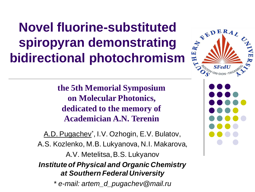**Novel fluorine-substituted<br>spiropyran demonstrating strategy of the set of the idirectional number of the set of the set of the set of the set of the set of the set of the set of the set of the set of the set of the set o spiropyran demonstrating bidirectional photochromism** 

> **the 5th Memorial Symposium on Molecular Photonics, dedicated to the memory of Academician A.N. Terenin**

A.D. Pugachev<sup>\*</sup>, I.V. Ozhogin, E.V. Bulatov, A.S. Kozlenko, M.B. Lukyanova, N.I. Makarova, A.V. Metelitsa, B.S. Lukyanov *Institute of Physical and Organic Chemistry at Southern Federal University \* e-mail: artem\_d\_pugachev@mail.ru* 



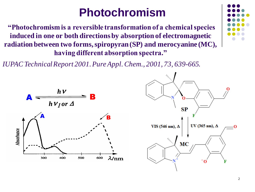### **Photochromism**

**"Photochromism is a reversible transformation of a chemical species induced in one or both directions by absorption of electromagnetic radiation between two forms, spiropyran (SP) and merocyanine (MC), having different absorption spectra."**

*IUPAC Technical Report 2001. Pure Appl. Chem., 2001, 73, 639-665.*



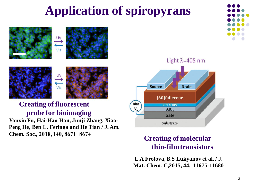## **Application of spiropyrans**







#### **Creating of fluorescent probe for bioimaging**

**Youxin Fu, Hai-Hao Han, Junji Zhang, Xiao-Peng He, Ben L. Feringa and He Tian / J. Am. Chem. Soc., 2018, 140, 8671−8674**



#### **Creating of molecular thin-film transistors**

**L.A Frolova, B.S Lukyanov et al. / J. Mat. Chem. C,2015, 44, 11675-11680**

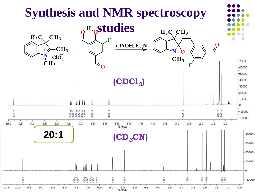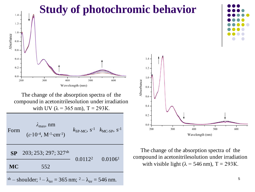

5